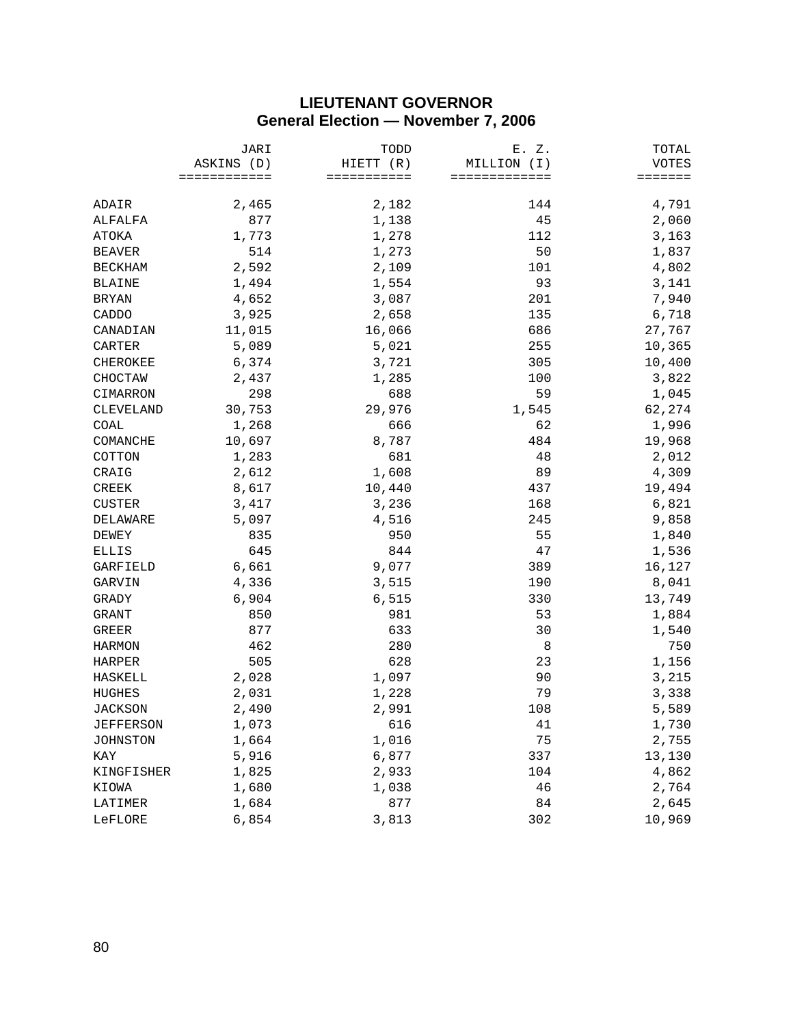## **LIEUTENANT GOVERNOR General Election — November 7, 2006**

|                | JARI<br>ASKINS (D)<br>============ | TODD<br>HIETT (R)<br>=========== | E. Z.<br>MILLION (I)<br>============= | TOTAL            |
|----------------|------------------------------------|----------------------------------|---------------------------------------|------------------|
|                |                                    |                                  |                                       | VOTES<br>======= |
|                |                                    |                                  |                                       |                  |
| ADAIR          | 2,465                              | 2,182                            | 144                                   | 4,791            |
| ALFALFA        | 877                                | 1,138                            | 45                                    | 2,060            |
| ATOKA          | 1,773                              | 1,278                            | 112                                   | 3,163            |
| <b>BEAVER</b>  | 514                                | 1,273                            | 50                                    | 1,837            |
| <b>BECKHAM</b> | 2,592                              | 2,109                            | 101                                   | 4,802            |
| <b>BLAINE</b>  | 1,494                              | 1,554                            | 93                                    | 3,141            |
| <b>BRYAN</b>   | 4,652                              | 3,087                            | 201                                   | 7,940            |
| CADDO          | 3,925                              | 2,658                            | 135                                   | 6,718            |
| CANADIAN       | 11,015                             | 16,066                           | 686                                   | 27,767           |
| CARTER         | 5,089                              | 5,021                            | 255                                   | 10,365           |
| CHEROKEE       | 6,374                              | 3,721                            | 305                                   | 10,400           |
| CHOCTAW        | 2,437                              | 1,285                            | 100                                   | 3,822            |
| CIMARRON       | 298                                | 688                              | 59                                    | 1,045            |
| CLEVELAND      | 30,753                             | 29,976                           | 1,545                                 | 62,274           |
| COAL           | 1,268                              | 666                              | 62                                    | 1,996            |
| COMANCHE       | 10,697                             | 8,787                            | 484                                   | 19,968           |
| COTTON         | 1,283                              | 681                              | 48                                    | 2,012            |
| CRAIG          | 2,612                              | 1,608                            | 89                                    | 4,309            |
| CREEK          | 8,617                              | 10,440                           | 437                                   | 19,494           |
| <b>CUSTER</b>  | 3,417                              | 3,236                            | 168                                   | 6,821            |
| DELAWARE       | 5,097                              | 4,516                            | 245                                   | 9,858            |
| <b>DEWEY</b>   | 835                                | 950                              | 55                                    | 1,840            |
| ELLIS          | 645                                | 844                              | 47                                    | 1,536            |
| GARFIELD       | 6,661                              | 9,077                            | 389                                   | 16,127           |
| GARVIN         | 4,336                              | 3,515                            | 190                                   | 8,041            |
| GRADY          | 6,904                              | 6,515                            | 330                                   | 13,749           |
| GRANT          | 850                                | 981                              | 53                                    | 1,884            |
| <b>GREER</b>   | 877                                | 633                              | 30                                    | 1,540            |
| <b>HARMON</b>  | 462                                | 280                              | 8                                     | 750              |
| <b>HARPER</b>  | 505                                | 628                              | 23                                    | 1,156            |
| HASKELL        | 2,028                              | 1,097                            | 90                                    | 3,215            |
| HUGHES         | 2,031                              | 1,228                            | 79                                    | 3,338            |
| <b>JACKSON</b> | 2,490                              | 2,991                            | 108                                   | 5,589            |
| JEFFERSON      | 1,073                              | 616                              | 41                                    | 1,730            |
| JOHNSTON       | 1,664                              | 1,016                            | 75                                    | 2,755            |
| KAY            | 5,916                              | 6,877                            | 337                                   | 13,130           |
| KINGFISHER     | 1,825                              | 2,933                            | 104                                   | 4,862            |
| KIOWA          | 1,680                              | 1,038                            | 46                                    | 2,764            |
| LATIMER        | 1,684                              | 877                              | 84                                    | 2,645            |
| LeFLORE        | 6,854                              | 3,813                            | 302                                   | 10,969           |